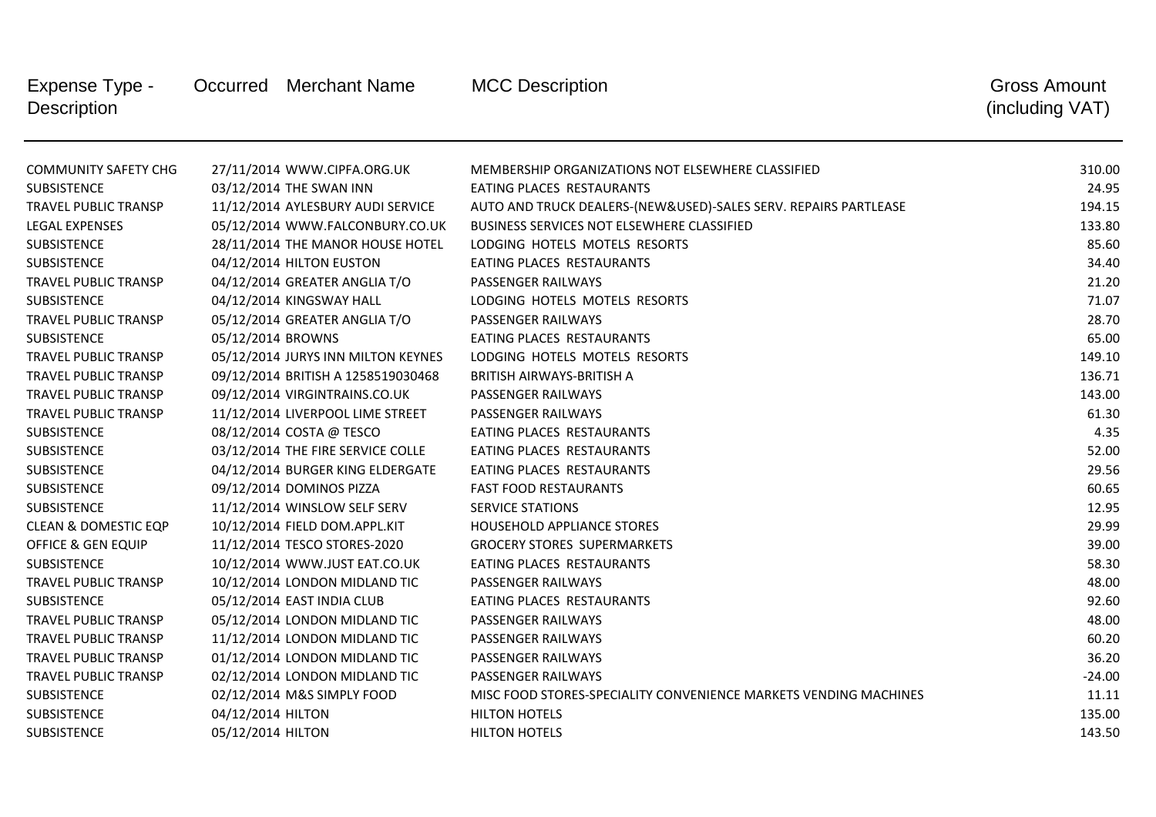| Expense Type -<br><b>Description</b> |                   | Occurred Merchant Name             | <b>MCC Description</b>                                           | <b>Gross Amount</b><br>(including VAT) |
|--------------------------------------|-------------------|------------------------------------|------------------------------------------------------------------|----------------------------------------|
| <b>COMMUNITY SAFETY CHG</b>          |                   | 27/11/2014 WWW.CIPFA.ORG.UK        | MEMBERSHIP ORGANIZATIONS NOT ELSEWHERE CLASSIFIED                | 310.00                                 |
| <b>SUBSISTENCE</b>                   |                   | 03/12/2014 THE SWAN INN            | EATING PLACES RESTAURANTS                                        | 24.95                                  |
| <b>TRAVEL PUBLIC TRANSP</b>          |                   | 11/12/2014 AYLESBURY AUDI SERVICE  | AUTO AND TRUCK DEALERS-(NEW&USED)-SALES SERV. REPAIRS PARTLEASE  | 194.15                                 |
| <b>LEGAL EXPENSES</b>                |                   | 05/12/2014 WWW.FALCONBURY.CO.UK    | BUSINESS SERVICES NOT ELSEWHERE CLASSIFIED                       | 133.80                                 |
| <b>SUBSISTENCE</b>                   |                   | 28/11/2014 THE MANOR HOUSE HOTEL   | LODGING HOTELS MOTELS RESORTS                                    | 85.60                                  |
| SUBSISTENCE                          |                   | 04/12/2014 HILTON EUSTON           | EATING PLACES RESTAURANTS                                        | 34.40                                  |
| <b>TRAVEL PUBLIC TRANSP</b>          |                   | 04/12/2014 GREATER ANGLIA T/O      | PASSENGER RAILWAYS                                               | 21.20                                  |
| <b>SUBSISTENCE</b>                   |                   | 04/12/2014 KINGSWAY HALL           | LODGING HOTELS MOTELS RESORTS                                    | 71.07                                  |
| TRAVEL PUBLIC TRANSP                 |                   | 05/12/2014 GREATER ANGLIA T/O      | PASSENGER RAILWAYS                                               | 28.70                                  |
| <b>SUBSISTENCE</b>                   | 05/12/2014 BROWNS |                                    | EATING PLACES RESTAURANTS                                        | 65.00                                  |
| <b>TRAVEL PUBLIC TRANSP</b>          |                   | 05/12/2014 JURYS INN MILTON KEYNES | LODGING HOTELS MOTELS RESORTS                                    | 149.10                                 |
| <b>TRAVEL PUBLIC TRANSP</b>          |                   | 09/12/2014 BRITISH A 1258519030468 | <b>BRITISH AIRWAYS-BRITISH A</b>                                 | 136.71                                 |
| <b>TRAVEL PUBLIC TRANSP</b>          |                   | 09/12/2014 VIRGINTRAINS.CO.UK      | PASSENGER RAILWAYS                                               | 143.00                                 |
| <b>TRAVEL PUBLIC TRANSP</b>          |                   | 11/12/2014 LIVERPOOL LIME STREET   | PASSENGER RAILWAYS                                               | 61.30                                  |
| <b>SUBSISTENCE</b>                   |                   | 08/12/2014 COSTA @ TESCO           | EATING PLACES RESTAURANTS                                        | 4.35                                   |
| SUBSISTENCE                          |                   | 03/12/2014 THE FIRE SERVICE COLLE  | EATING PLACES RESTAURANTS                                        | 52.00                                  |
| SUBSISTENCE                          |                   | 04/12/2014 BURGER KING ELDERGATE   | EATING PLACES RESTAURANTS                                        | 29.56                                  |
| SUBSISTENCE                          |                   | 09/12/2014 DOMINOS PIZZA           | <b>FAST FOOD RESTAURANTS</b>                                     | 60.65                                  |
| SUBSISTENCE                          |                   | 11/12/2014 WINSLOW SELF SERV       | <b>SERVICE STATIONS</b>                                          | 12.95                                  |
| <b>CLEAN &amp; DOMESTIC EQP</b>      |                   | 10/12/2014 FIELD DOM.APPL.KIT      | HOUSEHOLD APPLIANCE STORES                                       | 29.99                                  |
| OFFICE & GEN EQUIP                   |                   | 11/12/2014 TESCO STORES-2020       | <b>GROCERY STORES SUPERMARKETS</b>                               | 39.00                                  |
| <b>SUBSISTENCE</b>                   |                   | 10/12/2014 WWW.JUST EAT.CO.UK      | EATING PLACES RESTAURANTS                                        | 58.30                                  |
| <b>TRAVEL PUBLIC TRANSP</b>          |                   | 10/12/2014 LONDON MIDLAND TIC      | PASSENGER RAILWAYS                                               | 48.00                                  |
| SUBSISTENCE                          |                   | 05/12/2014 EAST INDIA CLUB         | EATING PLACES RESTAURANTS                                        | 92.60                                  |
| <b>TRAVEL PUBLIC TRANSP</b>          |                   | 05/12/2014 LONDON MIDLAND TIC      | PASSENGER RAILWAYS                                               | 48.00                                  |
| TRAVEL PUBLIC TRANSP                 |                   | 11/12/2014 LONDON MIDLAND TIC      | PASSENGER RAILWAYS                                               | 60.20                                  |
| <b>TRAVEL PUBLIC TRANSP</b>          |                   | 01/12/2014 LONDON MIDLAND TIC      | PASSENGER RAILWAYS                                               | 36.20                                  |
| <b>TRAVEL PUBLIC TRANSP</b>          |                   | 02/12/2014 LONDON MIDLAND TIC      | PASSENGER RAILWAYS                                               | $-24.00$                               |
| SUBSISTENCE                          |                   | 02/12/2014 M&S SIMPLY FOOD         | MISC FOOD STORES-SPECIALITY CONVENIENCE MARKETS VENDING MACHINES | 11.11                                  |
| <b>SUBSISTENCE</b>                   | 04/12/2014 HILTON |                                    | <b>HILTON HOTELS</b>                                             | 135.00                                 |
| <b>SUBSISTENCE</b>                   | 05/12/2014 HILTON |                                    | <b>HILTON HOTELS</b>                                             | 143.50                                 |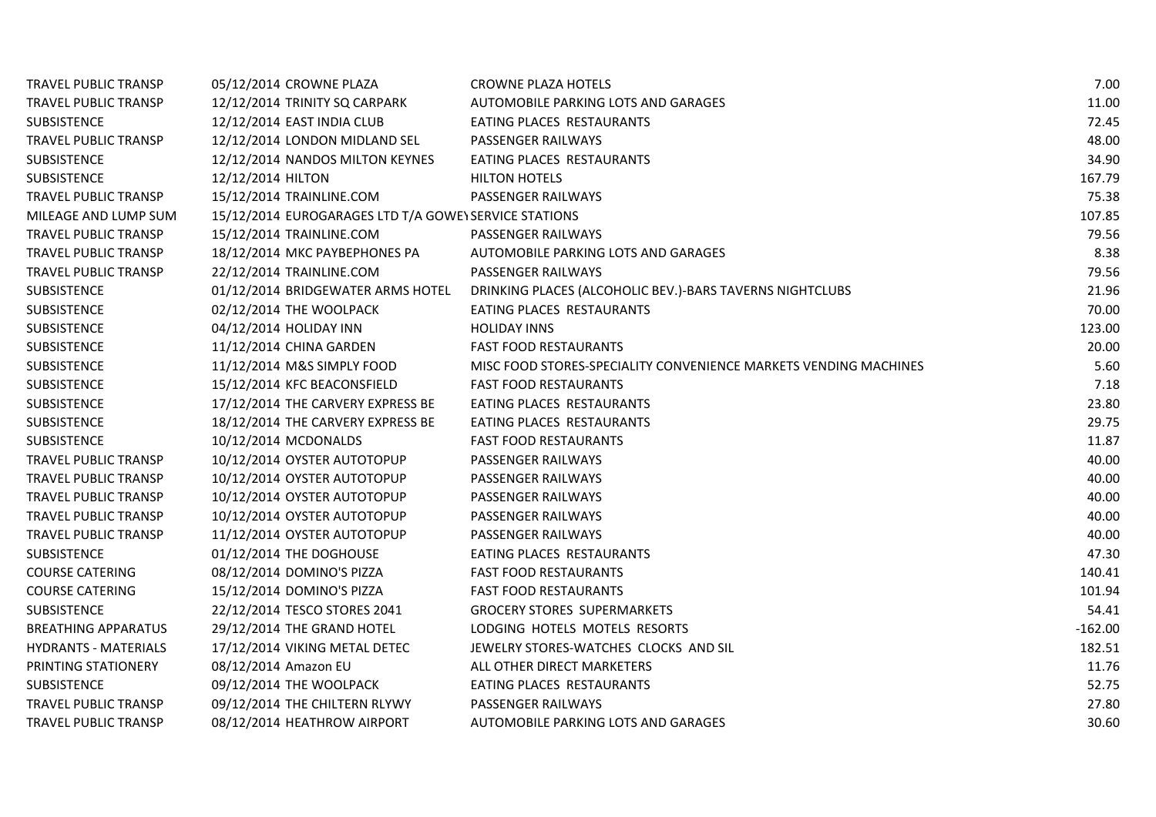| TRAVEL PUBLIC TRANSP        | 05/12/2014 CROWNE PLAZA                               | <b>CROWNE PLAZA HOTELS</b>                                       | 7.00      |
|-----------------------------|-------------------------------------------------------|------------------------------------------------------------------|-----------|
| TRAVEL PUBLIC TRANSP        | 12/12/2014 TRINITY SQ CARPARK                         | AUTOMOBILE PARKING LOTS AND GARAGES                              | 11.00     |
| <b>SUBSISTENCE</b>          | 12/12/2014 EAST INDIA CLUB                            | EATING PLACES RESTAURANTS                                        | 72.45     |
| <b>TRAVEL PUBLIC TRANSP</b> | 12/12/2014 LONDON MIDLAND SEL                         | PASSENGER RAILWAYS                                               | 48.00     |
| <b>SUBSISTENCE</b>          | 12/12/2014 NANDOS MILTON KEYNES                       | EATING PLACES RESTAURANTS                                        | 34.90     |
| <b>SUBSISTENCE</b>          | 12/12/2014 HILTON                                     | <b>HILTON HOTELS</b>                                             | 167.79    |
| TRAVEL PUBLIC TRANSP        | 15/12/2014 TRAINLINE.COM                              | PASSENGER RAILWAYS                                               | 75.38     |
| MILEAGE AND LUMP SUM        | 15/12/2014 EUROGARAGES LTD T/A GOWE\ SERVICE STATIONS | 107.85                                                           |           |
| TRAVEL PUBLIC TRANSP        | 15/12/2014 TRAINLINE.COM                              | PASSENGER RAILWAYS                                               | 79.56     |
| TRAVEL PUBLIC TRANSP        | 18/12/2014 MKC PAYBEPHONES PA                         | AUTOMOBILE PARKING LOTS AND GARAGES                              | 8.38      |
| <b>TRAVEL PUBLIC TRANSP</b> | 22/12/2014 TRAINLINE.COM                              | <b>PASSENGER RAILWAYS</b>                                        | 79.56     |
| SUBSISTENCE                 | 01/12/2014 BRIDGEWATER ARMS HOTEL                     | DRINKING PLACES (ALCOHOLIC BEV.)-BARS TAVERNS NIGHTCLUBS         | 21.96     |
| <b>SUBSISTENCE</b>          | 02/12/2014 THE WOOLPACK                               | EATING PLACES RESTAURANTS                                        | 70.00     |
| SUBSISTENCE                 | 04/12/2014 HOLIDAY INN                                | <b>HOLIDAY INNS</b>                                              | 123.00    |
| <b>SUBSISTENCE</b>          | 11/12/2014 CHINA GARDEN                               | <b>FAST FOOD RESTAURANTS</b>                                     | 20.00     |
| SUBSISTENCE                 | 11/12/2014 M&S SIMPLY FOOD                            | MISC FOOD STORES-SPECIALITY CONVENIENCE MARKETS VENDING MACHINES | 5.60      |
| <b>SUBSISTENCE</b>          | 15/12/2014 KFC BEACONSFIELD                           | <b>FAST FOOD RESTAURANTS</b>                                     | 7.18      |
| <b>SUBSISTENCE</b>          | 17/12/2014 THE CARVERY EXPRESS BE                     | EATING PLACES RESTAURANTS                                        | 23.80     |
| SUBSISTENCE                 | 18/12/2014 THE CARVERY EXPRESS BE                     | EATING PLACES RESTAURANTS                                        | 29.75     |
| <b>SUBSISTENCE</b>          | 10/12/2014 MCDONALDS                                  | <b>FAST FOOD RESTAURANTS</b>                                     | 11.87     |
| <b>TRAVEL PUBLIC TRANSP</b> | 10/12/2014 OYSTER AUTOTOPUP                           | PASSENGER RAILWAYS                                               | 40.00     |
| TRAVEL PUBLIC TRANSP        | 10/12/2014 OYSTER AUTOTOPUP                           | PASSENGER RAILWAYS                                               | 40.00     |
| TRAVEL PUBLIC TRANSP        | 10/12/2014 OYSTER AUTOTOPUP                           | PASSENGER RAILWAYS                                               | 40.00     |
| TRAVEL PUBLIC TRANSP        | 10/12/2014 OYSTER AUTOTOPUP                           | PASSENGER RAILWAYS                                               | 40.00     |
| <b>TRAVEL PUBLIC TRANSP</b> | 11/12/2014 OYSTER AUTOTOPUP                           | PASSENGER RAILWAYS                                               | 40.00     |
| SUBSISTENCE                 | 01/12/2014 THE DOGHOUSE                               | EATING PLACES RESTAURANTS                                        | 47.30     |
| <b>COURSE CATERING</b>      | 08/12/2014 DOMINO'S PIZZA                             | <b>FAST FOOD RESTAURANTS</b>                                     | 140.41    |
| <b>COURSE CATERING</b>      | 15/12/2014 DOMINO'S PIZZA                             | <b>FAST FOOD RESTAURANTS</b>                                     | 101.94    |
| <b>SUBSISTENCE</b>          | 22/12/2014 TESCO STORES 2041                          | <b>GROCERY STORES SUPERMARKETS</b>                               | 54.41     |
| <b>BREATHING APPARATUS</b>  | 29/12/2014 THE GRAND HOTEL                            | LODGING HOTELS MOTELS RESORTS                                    | $-162.00$ |
| <b>HYDRANTS - MATERIALS</b> | 17/12/2014 VIKING METAL DETEC                         | JEWELRY STORES-WATCHES CLOCKS AND SIL                            | 182.51    |
| PRINTING STATIONERY         | 08/12/2014 Amazon EU                                  | ALL OTHER DIRECT MARKETERS                                       | 11.76     |
| <b>SUBSISTENCE</b>          | 09/12/2014 THE WOOLPACK                               | EATING PLACES RESTAURANTS                                        | 52.75     |
| TRAVEL PUBLIC TRANSP        | 09/12/2014 THE CHILTERN RLYWY                         | PASSENGER RAILWAYS                                               | 27.80     |
| TRAVEL PUBLIC TRANSP        | 08/12/2014 HEATHROW AIRPORT                           | AUTOMOBILE PARKING LOTS AND GARAGES                              | 30.60     |